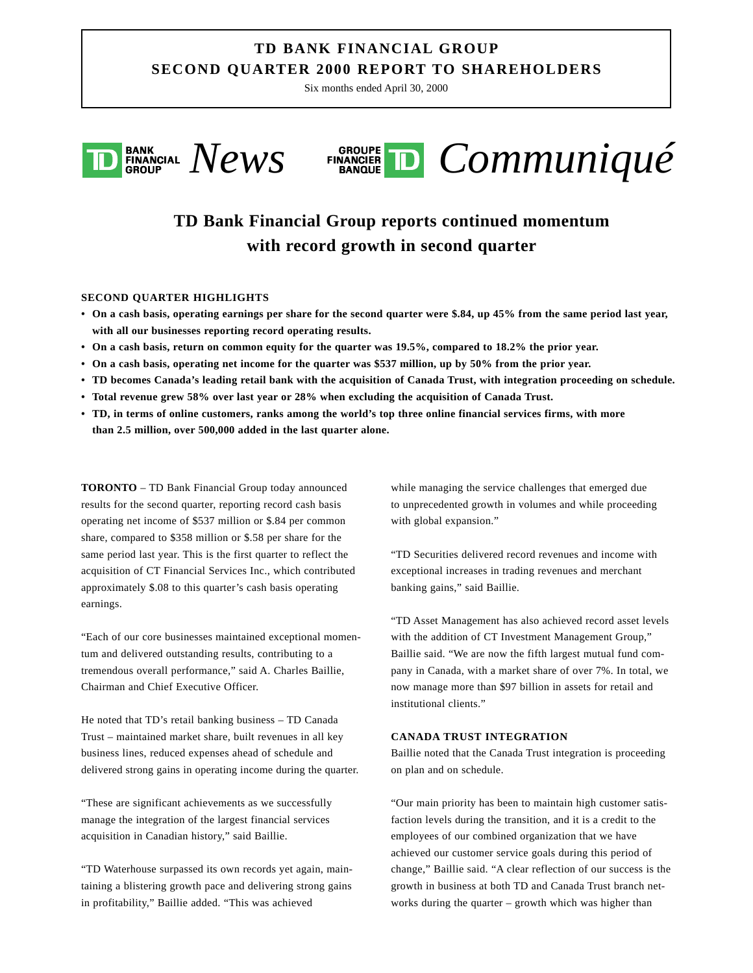## **TD BANK FINANCIAL GROUP SECOND QUARTER 2000 REPORT TO SHAREHOLDERS**

Six months ended April 30, 2000





# **TD Bank Financial Group reports continued momentum with record growth in second quarter**

#### **SECOND QUARTER HIGHLIGHTS**

- **On a cash basis, operating earnings per share for the second quarter were \$.84, up 45% from the same period last year, with all our businesses reporting record operating results.**
- **On a cash basis, return on common equity for the quarter was 19.5%, compared to 18.2% the prior year.**
- **On a cash basis, operating net income for the quarter was \$537 million, up by 50% from the prior year.**
- **TD becomes Canada's leading retail bank with the acquisition of Canada Trust, with integration proceeding on schedule.**
- **Total revenue grew 58% over last year or 28% when excluding the acquisition of Canada Trust.**
- **TD, in terms of online customers, ranks among the world's top three online financial services firms, with more than 2.5 million, over 500,000 added in the last quarter alone.**

**TORONTO** – TD Bank Financial Group today announced results for the second quarter, reporting record cash basis operating net income of \$537 million or \$.84 per common share, compared to \$358 million or \$.58 per share for the same period last year. This is the first quarter to reflect the acquisition of CT Financial Services Inc., which contributed approximately \$.08 to this quarter's cash basis operating earnings.

"Each of our core businesses maintained exceptional momentum and delivered outstanding results, contributing to a tremendous overall performance," said A. Charles Baillie, Chairman and Chief Executive Officer.

He noted that TD's retail banking business – TD Canada Trust – maintained market share, built revenues in all key business lines, reduced expenses ahead of schedule and delivered strong gains in operating income during the quarter.

"These are significant achievements as we successfully manage the integration of the largest financial services acquisition in Canadian history," said Baillie.

"TD Waterhouse surpassed its own records yet again, maintaining a blistering growth pace and delivering strong gains in profitability," Baillie added. "This was achieved

while managing the service challenges that emerged due to unprecedented growth in volumes and while proceeding with global expansion."

"TD Securities delivered record revenues and income with exceptional increases in trading revenues and merchant banking gains," said Baillie.

"TD Asset Management has also achieved record asset levels with the addition of CT Investment Management Group," Baillie said. "We are now the fifth largest mutual fund company in Canada, with a market share of over 7%. In total, we now manage more than \$97 billion in assets for retail and institutional clients."

#### **CANADA TRUST INTEGRATION**

Baillie noted that the Canada Trust integration is proceeding on plan and on schedule.

"Our main priority has been to maintain high customer satisfaction levels during the transition, and it is a credit to the employees of our combined organization that we have achieved our customer service goals during this period of change," Baillie said. "A clear reflection of our success is the growth in business at both TD and Canada Trust branch networks during the quarter – growth which was higher than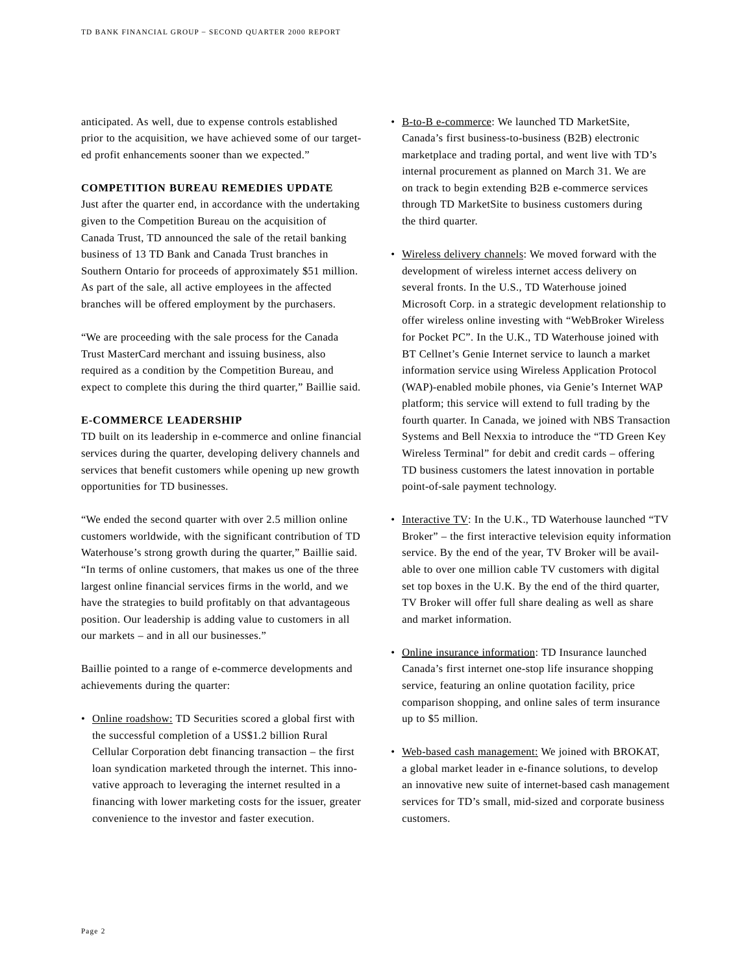anticipated. As well, due to expense controls established prior to the acquisition, we have achieved some of our targeted profit enhancements sooner than we expected."

#### **COMPETITION BUREAU REMEDIES UPDATE**

Just after the quarter end, in accordance with the undertaking given to the Competition Bureau on the acquisition of Canada Trust, TD announced the sale of the retail banking business of 13 TD Bank and Canada Trust branches in Southern Ontario for proceeds of approximately \$51 million. As part of the sale, all active employees in the affected branches will be offered employment by the purchasers.

"We are proceeding with the sale process for the Canada Trust MasterCard merchant and issuing business, also required as a condition by the Competition Bureau, and expect to complete this during the third quarter," Baillie said.

#### **E-COMMERCE LEADERSHIP**

TD built on its leadership in e-commerce and online financial services during the quarter, developing delivery channels and services that benefit customers while opening up new growth opportunities for TD businesses.

"We ended the second quarter with over 2.5 million online customers worldwide, with the significant contribution of TD Waterhouse's strong growth during the quarter," Baillie said. "In terms of online customers, that makes us one of the three largest online financial services firms in the world, and we have the strategies to build profitably on that advantageous position. Our leadership is adding value to customers in all our markets – and in all our businesses."

Baillie pointed to a range of e-commerce developments and achievements during the quarter:

• Online roadshow: TD Securities scored a global first with the successful completion of a US\$1.2 billion Rural Cellular Corporation debt financing transaction – the first loan syndication marketed through the internet. This innovative approach to leveraging the internet resulted in a financing with lower marketing costs for the issuer, greater convenience to the investor and faster execution.

- B-to-B e-commerce: We launched TD MarketSite, Canada's first business-to-business (B2B) electronic marketplace and trading portal, and went live with TD's internal procurement as planned on March 31. We are on track to begin extending B2B e-commerce services through TD MarketSite to business customers during the third quarter.
- Wireless delivery channels: We moved forward with the development of wireless internet access delivery on several fronts. In the U.S., TD Waterhouse joined Microsoft Corp. in a strategic development relationship to offer wireless online investing with "WebBroker Wireless for Pocket PC". In the U.K., TD Waterhouse joined with BT Cellnet's Genie Internet service to launch a market information service using Wireless Application Protocol (WAP)-enabled mobile phones, via Genie's Internet WAP platform; this service will extend to full trading by the fourth quarter. In Canada, we joined with NBS Transaction Systems and Bell Nexxia to introduce the "TD Green Key Wireless Terminal" for debit and credit cards – offering TD business customers the latest innovation in portable point-of-sale payment technology.
- Interactive TV: In the U.K., TD Waterhouse launched "TV Broker" – the first interactive television equity information service. By the end of the year, TV Broker will be available to over one million cable TV customers with digital set top boxes in the U.K. By the end of the third quarter, TV Broker will offer full share dealing as well as share and market information.
- Online insurance information: TD Insurance launched Canada's first internet one-stop life insurance shopping service, featuring an online quotation facility, price comparison shopping, and online sales of term insurance up to \$5 million.
- Web-based cash management: We joined with BROKAT, a global market leader in e-finance solutions, to develop an innovative new suite of internet-based cash management services for TD's small, mid-sized and corporate business customers.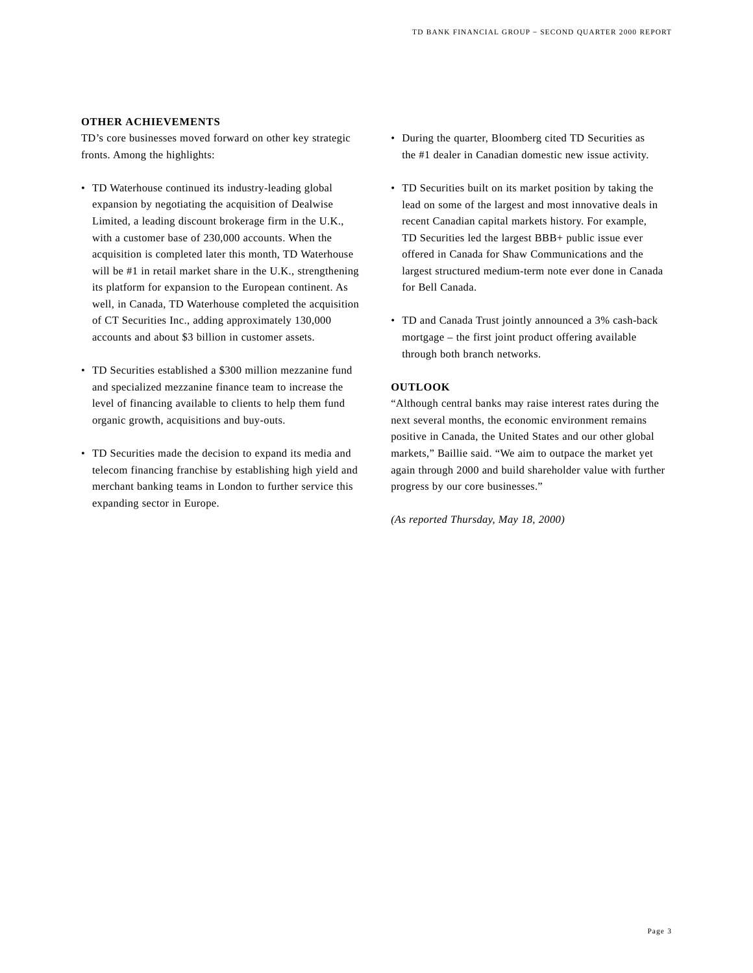#### **OTHER ACHIEVEMENTS**

TD's core businesses moved forward on other key strategic fronts. Among the highlights:

- TD Waterhouse continued its industry-leading global expansion by negotiating the acquisition of Dealwise Limited, a leading discount brokerage firm in the U.K., with a customer base of 230,000 accounts. When the acquisition is completed later this month, TD Waterhouse will be #1 in retail market share in the U.K., strengthening its platform for expansion to the European continent. As well, in Canada, TD Waterhouse completed the acquisition of CT Securities Inc., adding approximately 130,000 accounts and about \$3 billion in customer assets.
- TD Securities established a \$300 million mezzanine fund and specialized mezzanine finance team to increase the level of financing available to clients to help them fund organic growth, acquisitions and buy-outs.
- TD Securities made the decision to expand its media and telecom financing franchise by establishing high yield and merchant banking teams in London to further service this expanding sector in Europe.
- During the quarter, Bloomberg cited TD Securities as the #1 dealer in Canadian domestic new issue activity.
- TD Securities built on its market position by taking the lead on some of the largest and most innovative deals in recent Canadian capital markets history. For example, TD Securities led the largest BBB+ public issue ever offered in Canada for Shaw Communications and the largest structured medium-term note ever done in Canada for Bell Canada.
- TD and Canada Trust jointly announced a 3% cash-back mortgage – the first joint product offering available through both branch networks.

#### **OUTLOOK**

"Although central banks may raise interest rates during the next several months, the economic environment remains positive in Canada, the United States and our other global markets," Baillie said. "We aim to outpace the market yet again through 2000 and build shareholder value with further progress by our core businesses."

*(As reported Thursday, May 18, 2000)*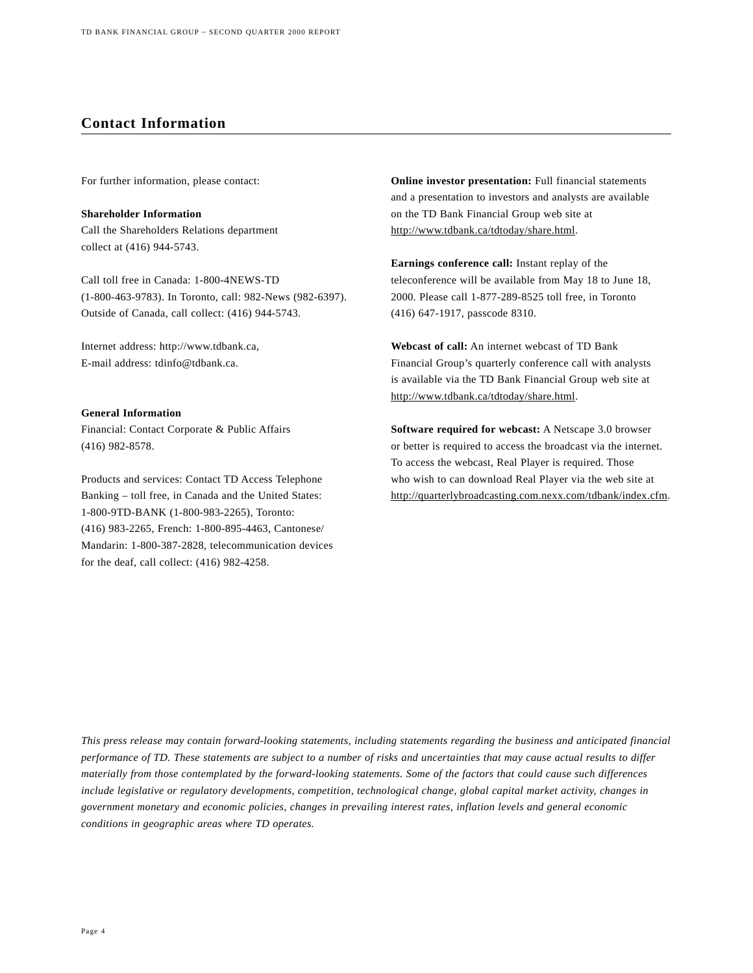## **Contact Information**

For further information, please contact:

**Shareholder Information** Call the Shareholders Relations department collect at (416) 944-5743.

Call toll free in Canada: 1-800-4NEWS-TD (1-800-463-9783). In Toronto, call: 982-News (982-6397). Outside of Canada, call collect: (416) 944-5743.

Internet address: http://www.tdbank.ca, E-mail address: tdinfo@tdbank.ca.

#### **General Information**

Financial: Contact Corporate & Public Affairs (416) 982-8578.

Products and services: Contact TD Access Telephone Banking – toll free, in Canada and the United States: 1-800-9TD-BANK (1-800-983-2265), Toronto: (416) 983-2265, French: 1-800-895-4463, Cantonese/ Mandarin: 1-800-387-2828, telecommunication devices for the deaf, call collect: (416) 982-4258.

**Online investor presentation:** Full financial statements and a presentation to investors and analysts are available on the TD Bank Financial Group web site at http://www.tdbank.ca/tdtoday/share.html.

**Earnings conference call:** Instant replay of the teleconference will be available from May 18 to June 18, 2000. Please call 1-877-289-8525 toll free, in Toronto (416) 647-1917, passcode 8310.

**Webcast of call:** An internet webcast of TD Bank Financial Group's quarterly conference call with analysts is available via the TD Bank Financial Group web site at http://www.tdbank.ca/tdtoday/share.html.

**Software required for webcast:** A Netscape 3.0 browser or better is required to access the broadcast via the internet. To access the webcast, Real Player is required. Those who wish to can download Real Player via the web site at http://quarterlybroadcasting.com.nexx.com/tdbank/index.cfm.

*This press release may contain forward-looking statements, including statements regarding the business and anticipated financial performance of TD. These statements are subject to a number of risks and uncertainties that may cause actual results to differ materially from those contemplated by the forward-looking statements. Some of the factors that could cause such differences include legislative or regulatory developments, competition, technological change, global capital market activity, changes in government monetary and economic policies, changes in prevailing interest rates, inflation levels and general economic conditions in geographic areas where TD operates.*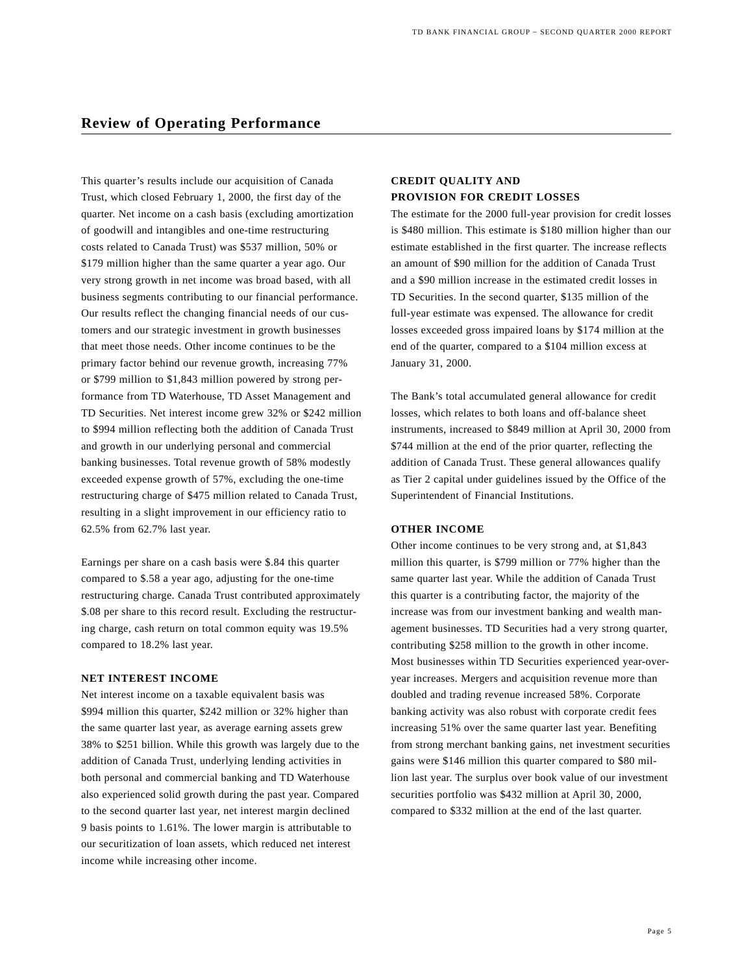This quarter's results include our acquisition of Canada Trust, which closed February 1, 2000, the first day of the quarter. Net income on a cash basis (excluding amortization of goodwill and intangibles and one-time restructuring costs related to Canada Trust) was \$537 million, 50% or \$179 million higher than the same quarter a year ago. Our very strong growth in net income was broad based, with all business segments contributing to our financial performance. Our results reflect the changing financial needs of our customers and our strategic investment in growth businesses that meet those needs. Other income continues to be the primary factor behind our revenue growth, increasing 77% or \$799 million to \$1,843 million powered by strong performance from TD Waterhouse, TD Asset Management and TD Securities. Net interest income grew 32% or \$242 million to \$994 million reflecting both the addition of Canada Trust and growth in our underlying personal and commercial banking businesses. Total revenue growth of 58% modestly exceeded expense growth of 57%, excluding the one-time restructuring charge of \$475 million related to Canada Trust, resulting in a slight improvement in our efficiency ratio to 62.5% from 62.7% last year.

Earnings per share on a cash basis were \$.84 this quarter compared to \$.58 a year ago, adjusting for the one-time restructuring charge. Canada Trust contributed approximately \$.08 per share to this record result. Excluding the restructuring charge, cash return on total common equity was 19.5% compared to 18.2% last year.

#### **NET INTEREST INCOME**

Net interest income on a taxable equivalent basis was \$994 million this quarter, \$242 million or 32% higher than the same quarter last year, as average earning assets grew 38% to \$251 billion. While this growth was largely due to the addition of Canada Trust, underlying lending activities in both personal and commercial banking and TD Waterhouse also experienced solid growth during the past year. Compared to the second quarter last year, net interest margin declined 9 basis points to 1.61%. The lower margin is attributable to our securitization of loan assets, which reduced net interest income while increasing other income.

### **CREDIT QUALITY AND PROVISION FOR CREDIT LOSSES**

The estimate for the 2000 full-year provision for credit losses is \$480 million. This estimate is \$180 million higher than our estimate established in the first quarter. The increase reflects an amount of \$90 million for the addition of Canada Trust and a \$90 million increase in the estimated credit losses in TD Securities. In the second quarter, \$135 million of the full-year estimate was expensed. The allowance for credit losses exceeded gross impaired loans by \$174 million at the end of the quarter, compared to a \$104 million excess at January 31, 2000.

The Bank's total accumulated general allowance for credit losses, which relates to both loans and off-balance sheet instruments, increased to \$849 million at April 30, 2000 from \$744 million at the end of the prior quarter, reflecting the addition of Canada Trust. These general allowances qualify as Tier 2 capital under guidelines issued by the Office of the Superintendent of Financial Institutions.

#### **OTHER INCOME**

Other income continues to be very strong and, at \$1,843 million this quarter, is \$799 million or 77% higher than the same quarter last year. While the addition of Canada Trust this quarter is a contributing factor, the majority of the increase was from our investment banking and wealth management businesses. TD Securities had a very strong quarter, contributing \$258 million to the growth in other income. Most businesses within TD Securities experienced year-overyear increases. Mergers and acquisition revenue more than doubled and trading revenue increased 58%. Corporate banking activity was also robust with corporate credit fees increasing 51% over the same quarter last year. Benefiting from strong merchant banking gains, net investment securities gains were \$146 million this quarter compared to \$80 million last year. The surplus over book value of our investment securities portfolio was \$432 million at April 30, 2000, compared to \$332 million at the end of the last quarter.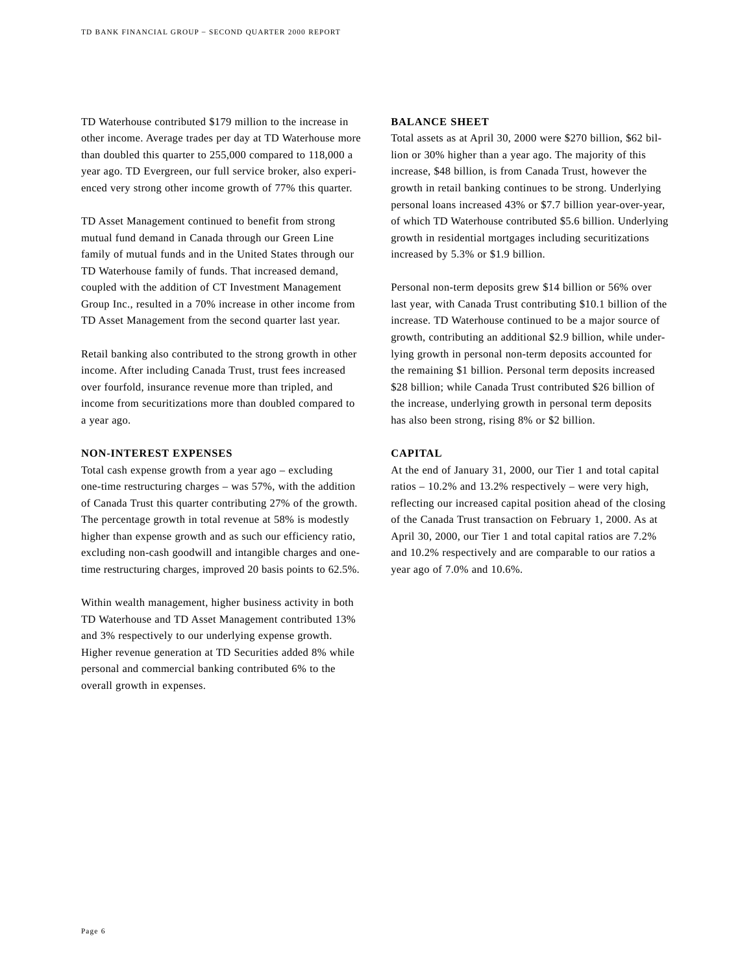TD Waterhouse contributed \$179 million to the increase in other income. Average trades per day at TD Waterhouse more than doubled this quarter to 255,000 compared to 118,000 a year ago. TD Evergreen, our full service broker, also experienced very strong other income growth of 77% this quarter.

TD Asset Management continued to benefit from strong mutual fund demand in Canada through our Green Line family of mutual funds and in the United States through our TD Waterhouse family of funds. That increased demand, coupled with the addition of CT Investment Management Group Inc., resulted in a 70% increase in other income from TD Asset Management from the second quarter last year.

Retail banking also contributed to the strong growth in other income. After including Canada Trust, trust fees increased over fourfold, insurance revenue more than tripled, and income from securitizations more than doubled compared to a year ago.

#### **NON-INTEREST EXPENSES**

Total cash expense growth from a year ago – excluding one-time restructuring charges – was 57%, with the addition of Canada Trust this quarter contributing 27% of the growth. The percentage growth in total revenue at 58% is modestly higher than expense growth and as such our efficiency ratio, excluding non-cash goodwill and intangible charges and onetime restructuring charges, improved 20 basis points to 62.5%.

Within wealth management, higher business activity in both TD Waterhouse and TD Asset Management contributed 13% and 3% respectively to our underlying expense growth. Higher revenue generation at TD Securities added 8% while personal and commercial banking contributed 6% to the overall growth in expenses.

#### **BALANCE SHEET**

Total assets as at April 30, 2000 were \$270 billion, \$62 billion or 30% higher than a year ago. The majority of this increase, \$48 billion, is from Canada Trust, however the growth in retail banking continues to be strong. Underlying personal loans increased 43% or \$7.7 billion year-over-year, of which TD Waterhouse contributed \$5.6 billion. Underlying growth in residential mortgages including securitizations increased by 5.3% or \$1.9 billion.

Personal non-term deposits grew \$14 billion or 56% over last year, with Canada Trust contributing \$10.1 billion of the increase. TD Waterhouse continued to be a major source of growth, contributing an additional \$2.9 billion, while underlying growth in personal non-term deposits accounted for the remaining \$1 billion. Personal term deposits increased \$28 billion; while Canada Trust contributed \$26 billion of the increase, underlying growth in personal term deposits has also been strong, rising 8% or \$2 billion.

#### **CAPITAL**

At the end of January 31, 2000, our Tier 1 and total capital ratios – 10.2% and 13.2% respectively – were very high, reflecting our increased capital position ahead of the closing of the Canada Trust transaction on February 1, 2000. As at April 30, 2000, our Tier 1 and total capital ratios are 7.2% and 10.2% respectively and are comparable to our ratios a year ago of 7.0% and 10.6%.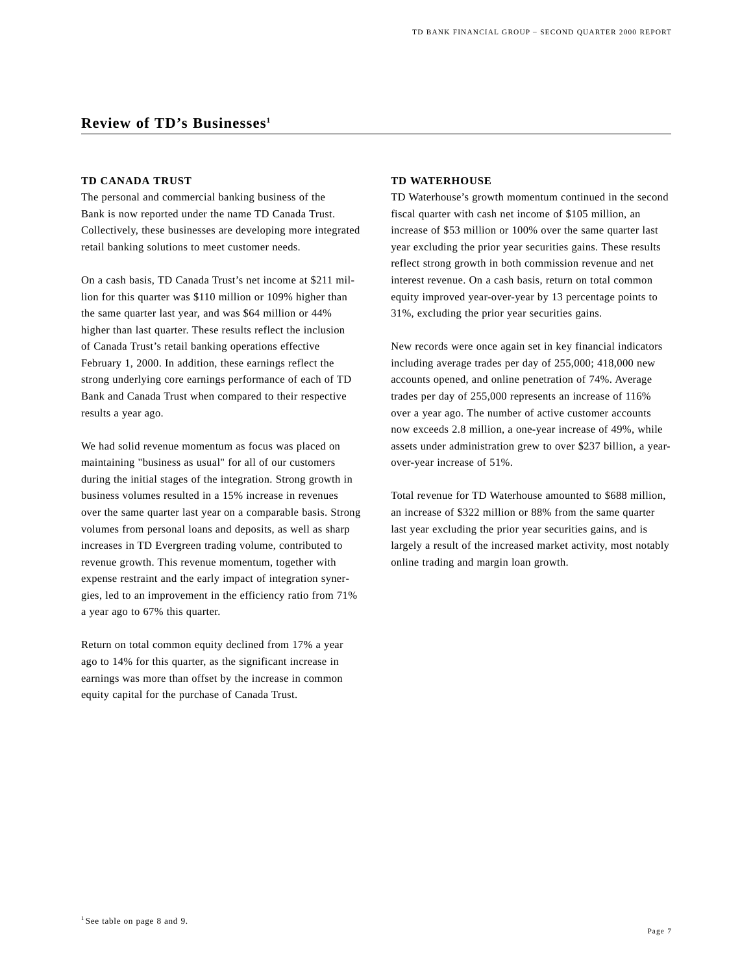## **Review of TD's Businesses1**

#### **TD CANADA TRUST**

The personal and commercial banking business of the Bank is now reported under the name TD Canada Trust. Collectively, these businesses are developing more integrated retail banking solutions to meet customer needs.

On a cash basis, TD Canada Trust's net income at \$211 million for this quarter was \$110 million or 109% higher than the same quarter last year, and was \$64 million or 44% higher than last quarter. These results reflect the inclusion of Canada Trust's retail banking operations effective February 1, 2000. In addition, these earnings reflect the strong underlying core earnings performance of each of TD Bank and Canada Trust when compared to their respective results a year ago.

We had solid revenue momentum as focus was placed on maintaining "business as usual" for all of our customers during the initial stages of the integration. Strong growth in business volumes resulted in a 15% increase in revenues over the same quarter last year on a comparable basis. Strong volumes from personal loans and deposits, as well as sharp increases in TD Evergreen trading volume, contributed to revenue growth. This revenue momentum, together with expense restraint and the early impact of integration synergies, led to an improvement in the efficiency ratio from 71% a year ago to 67% this quarter.

Return on total common equity declined from 17% a year ago to 14% for this quarter, as the significant increase in earnings was more than offset by the increase in common equity capital for the purchase of Canada Trust.

#### **TD WATERHOUSE**

TD Waterhouse's growth momentum continued in the second fiscal quarter with cash net income of \$105 million, an increase of \$53 million or 100% over the same quarter last year excluding the prior year securities gains. These results reflect strong growth in both commission revenue and net interest revenue. On a cash basis, return on total common equity improved year-over-year by 13 percentage points to 31%, excluding the prior year securities gains.

New records were once again set in key financial indicators including average trades per day of 255,000; 418,000 new accounts opened, and online penetration of 74%. Average trades per day of 255,000 represents an increase of 116% over a year ago. The number of active customer accounts now exceeds 2.8 million, a one-year increase of 49%, while assets under administration grew to over \$237 billion, a yearover-year increase of 51%.

Total revenue for TD Waterhouse amounted to \$688 million, an increase of \$322 million or 88% from the same quarter last year excluding the prior year securities gains, and is largely a result of the increased market activity, most notably online trading and margin loan growth.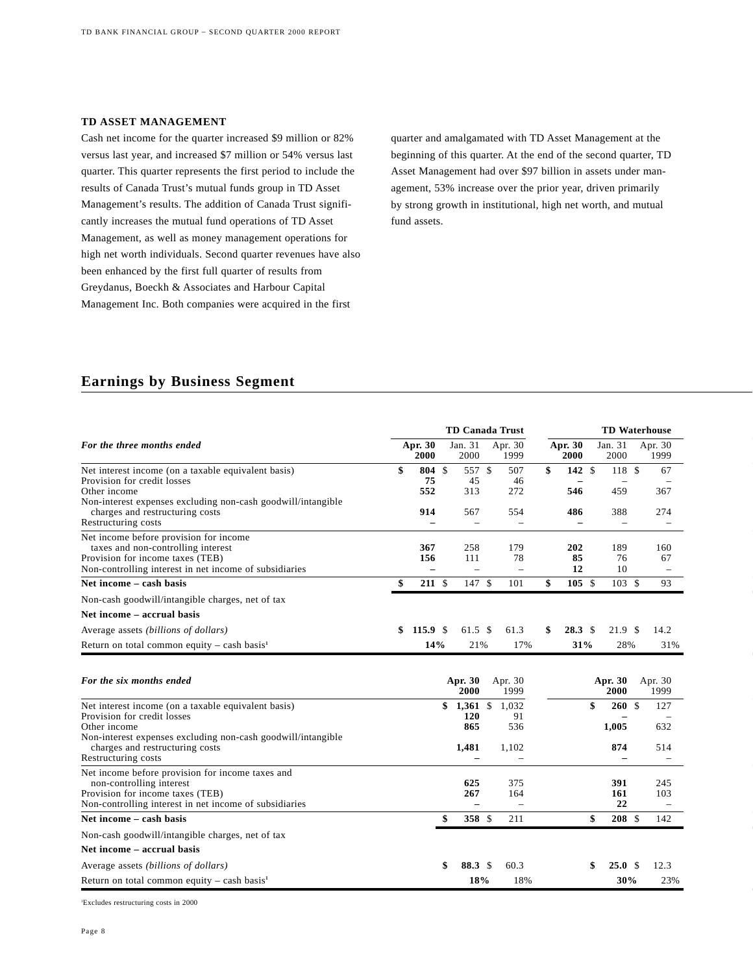#### **TD ASSET MANAGEMENT**

Cash net income for the quarter increased \$9 million or 82% versus last year, and increased \$7 million or 54% versus last quarter. This quarter represents the first period to include the results of Canada Trust's mutual funds group in TD Asset Management's results. The addition of Canada Trust significantly increases the mutual fund operations of TD Asset Management, as well as money management operations for high net worth individuals. Second quarter revenues have also been enhanced by the first full quarter of results from Greydanus, Boeckh & Associates and Harbour Capital Management Inc. Both companies were acquired in the first

quarter and amalgamated with TD Asset Management at the beginning of this quarter. At the end of the second quarter, TD Asset Management had over \$97 billion in assets under management, 53% increase over the prior year, driven primarily by strong growth in institutional, high net worth, and mutual fund assets.

### **Earnings by Business Segment**

|                                                                                                                                                                                                                              |                                        |             | <b>TD Canada Trust</b>                 |                                       |                                 | <b>TD Waterhouse</b>       |                   |
|------------------------------------------------------------------------------------------------------------------------------------------------------------------------------------------------------------------------------|----------------------------------------|-------------|----------------------------------------|---------------------------------------|---------------------------------|----------------------------|-------------------|
| For the three months ended                                                                                                                                                                                                   | Apr. 30<br>2000                        |             | Jan. 31<br>2000                        | Apr. 30<br>1999                       | Apr. 30<br>2000                 | Jan. 31<br>2000            | Apr. 30<br>1999   |
| Net interest income (on a taxable equivalent basis)<br>Provision for credit losses<br>Other income                                                                                                                           | \$<br>804<br>75<br>552                 | $\mathbf S$ | 557 \$<br>45<br>313                    | 507<br>46<br>272                      | \$<br>142S<br>546               | 118 \$<br>459              | 67<br>367         |
| Non-interest expenses excluding non-cash goodwill/intangible<br>charges and restructuring costs<br>Restructuring costs                                                                                                       | 914<br>$\overline{\phantom{0}}$        |             | 567<br>$\overline{\phantom{0}}$        | 554<br>$\overline{\phantom{0}}$       | 486<br>$\overline{\phantom{0}}$ | 388<br>$\qquad \qquad -$   | 274               |
| Net income before provision for income<br>taxes and non-controlling interest<br>Provision for income taxes (TEB)<br>Non-controlling interest in net income of subsidiaries                                                   | 367<br>156<br>$\overline{\phantom{0}}$ |             | 258<br>111<br>$\overline{\phantom{0}}$ | 179<br>78<br>$\overline{\phantom{0}}$ | 202<br>85<br>12                 | 189<br>76<br>10            | 160<br>67         |
| Net income – cash basis                                                                                                                                                                                                      | \$<br>$211 \tS$                        |             | 147 \$                                 | 101                                   | \$<br>105S                      | 103S                       | 93                |
| Non-cash goodwill/intangible charges, net of tax                                                                                                                                                                             |                                        |             |                                        |                                       |                                 |                            |                   |
| Net income – accrual basis                                                                                                                                                                                                   |                                        |             |                                        |                                       |                                 |                            |                   |
| Average assets (billions of dollars)                                                                                                                                                                                         | \$<br>115.9 $\frac{1}{2}$              |             | $61.5 \text{ }$ \$                     | 61.3                                  | \$<br>28.3 <sup>°</sup>         | 21.9 <sup>°</sup>          | 14.2              |
| Return on total common equity – cash basis <sup>1</sup>                                                                                                                                                                      | 14%                                    |             | 21%                                    | 17%                                   | 31%                             | 28%                        | 31%               |
| For the six months ended                                                                                                                                                                                                     |                                        |             | Apr. 30<br>2000                        | Apr. 30<br>1999                       |                                 | Apr. 30<br>2000            | Apr. 30<br>1999   |
| Net interest income (on a taxable equivalent basis)<br>Provision for credit losses<br>Other income<br>Non-interest expenses excluding non-cash goodwill/intangible<br>charges and restructuring costs<br>Restructuring costs |                                        |             | $$1,361$ \$<br>120<br>865<br>1,481     | 1.032<br>91<br>536<br>1,102           |                                 | \$<br>260S<br>1,005<br>874 | 127<br>632<br>514 |
| Net income before provision for income taxes and<br>non-controlling interest<br>Provision for income taxes (TEB)<br>Non-controlling interest in net income of subsidiaries                                                   |                                        |             | 625<br>267                             | 375<br>164                            |                                 | 391<br>161<br>22           | 245<br>103        |
| Net income – cash basis                                                                                                                                                                                                      |                                        | \$          | 358 \$                                 | 211                                   |                                 | \$<br>208S                 | 142               |
| Non-cash goodwill/intangible charges, net of tax                                                                                                                                                                             |                                        |             |                                        |                                       |                                 |                            |                   |
| Net income - accrual basis                                                                                                                                                                                                   |                                        |             |                                        |                                       |                                 |                            |                   |
| Average assets (billions of dollars)                                                                                                                                                                                         |                                        | \$          | 88.3 \$                                | 60.3                                  |                                 | \$<br>25.0 <sup>°</sup>    | 12.3              |
| Return on total common equity – cash basis <sup>1</sup>                                                                                                                                                                      |                                        |             | 18%                                    | 18%                                   |                                 | 30%                        | 23%               |

1 Excludes restructuring costs in 2000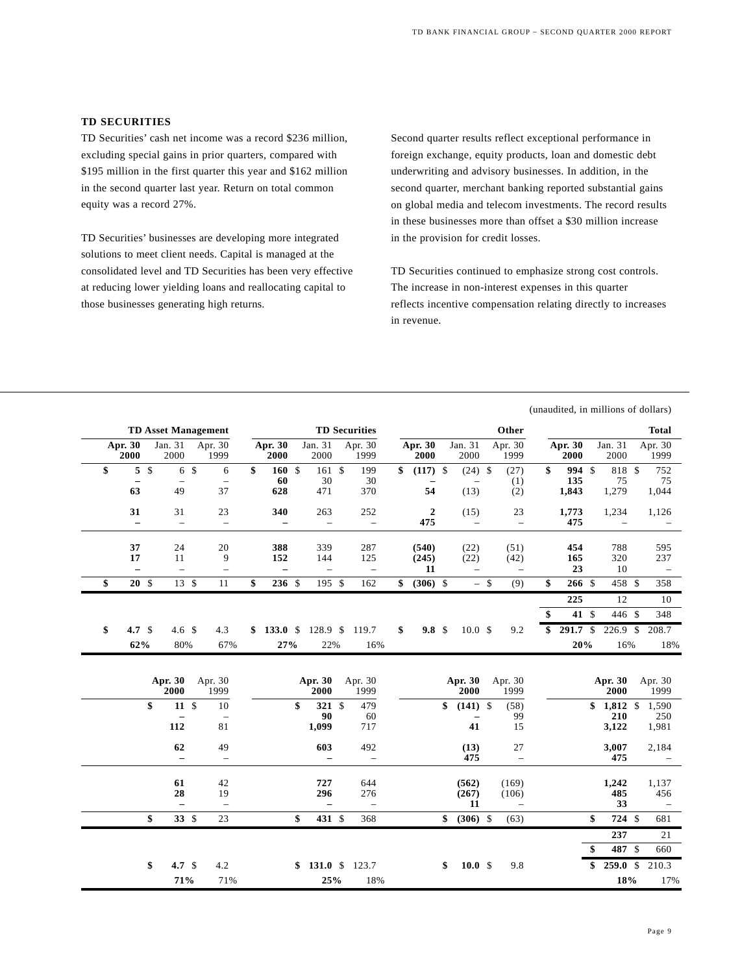### **TD SECURITIES**

TD Securities' cash net income was a record \$236 million, excluding special gains in prior quarters, compared with \$195 million in the first quarter this year and \$162 million in the second quarter last year. Return on total common equity was a record 27%.

TD Securities' businesses are developing more integrated solutions to meet client needs. Capital is managed at the consolidated level and TD Securities has been very effective at reducing lower yielding loans and reallocating capital to those businesses generating high returns.

Second quarter results reflect exceptional performance in foreign exchange, equity products, loan and domestic debt underwriting and advisory businesses. In addition, in the second quarter, merchant banking reported substantial gains on global media and telecom investments. The record results in these businesses more than offset a \$30 million increase in the provision for credit losses.

TD Securities continued to emphasize strong cost controls. The increase in non-interest expenses in this quarter reflects incentive compensation relating directly to increases in revenue.

|    |                      |               |                                         |                                      |                                        |                                        |                                        |                        |                                          |        |                                          | (unaudited, in millions of dollars) |                                 |               |                                          |
|----|----------------------|---------------|-----------------------------------------|--------------------------------------|----------------------------------------|----------------------------------------|----------------------------------------|------------------------|------------------------------------------|--------|------------------------------------------|-------------------------------------|---------------------------------|---------------|------------------------------------------|
|    |                      |               |                                         | <b>TD Asset Management</b>           |                                        |                                        | <b>TD Securities</b>                   |                        |                                          |        | Other                                    |                                     |                                 |               | <b>Total</b>                             |
|    | Apr. 30<br>2000      |               | Jan. 31<br>2000                         | Apr. 30<br>1999                      | Apr. 30<br>2000                        | Jan. 31<br>2000                        | Apr. 30<br>1999                        | Apr. 30<br>2000        | Jan. 31<br>2000                          |        | Apr. 30<br>1999                          | Apr. 30<br>2000                     | Jan. 31<br>2000                 |               | Apr. 30<br>1999                          |
| \$ | 5                    | $\mathsf{\$}$ | $6\sqrt{3}$<br>$\overline{\phantom{0}}$ | 6<br>$\overline{\phantom{0}}$        | \$<br>160S<br>60                       | 161S<br>30                             | 199<br>30                              | \$<br>$(117)$ \$       | (24)<br>$\overline{\phantom{a}}$         | \$     | (27)<br>(1)                              | \$<br>994 \$<br>135                 | 818<br>75                       | $\mathcal{S}$ | 752<br>75                                |
|    | 63<br>31             |               | 49<br>31                                | 37<br>23                             | 628<br>340                             | 471<br>263                             | 370<br>252                             | 54<br>$\boldsymbol{2}$ | (13)<br>(15)                             |        | (2)<br>23                                | 1,843<br>1,773                      | 1,279<br>1,234                  |               | 1,044<br>1,126                           |
|    | $\qquad \qquad -$    |               | $\overline{\phantom{0}}$                | $\overline{\phantom{0}}$             | $\overline{\phantom{0}}$               | $\overline{\phantom{0}}$               | $\overline{\phantom{0}}$               | 475                    | $\overline{\phantom{0}}$                 |        | $\overline{\phantom{0}}$                 | 475                                 | $\overline{\phantom{0}}$        |               |                                          |
|    | 37<br>17<br>$\equiv$ |               | 24<br>11<br>$\overline{a}$              | 20<br>9<br>$\overline{\phantom{0}}$  | 388<br>152<br>$\overline{\phantom{0}}$ | 339<br>144<br>$\overline{\phantom{0}}$ | 287<br>125<br>$\overline{\phantom{0}}$ | (540)<br>(245)<br>11   | (22)<br>(22)<br>$\overline{\phantom{0}}$ |        | (51)<br>(42)<br>$\overline{\phantom{0}}$ | 454<br>165<br>23                    | 788<br>320<br>10                |               | 595<br>237<br>$\overline{\phantom{m}}$   |
| \$ | 20S                  |               | 13S                                     | 11                                   | \$<br>236S                             | 195S                                   | 162                                    | \$<br>$(306)$ \$       |                                          | $-$ \$ | (9)                                      | \$<br>266S                          | 458 \$                          |               | 358                                      |
|    |                      |               |                                         |                                      |                                        |                                        |                                        |                        |                                          |        |                                          | 225                                 | 12                              |               | 10                                       |
|    |                      |               |                                         |                                      |                                        |                                        |                                        |                        |                                          |        |                                          | \$<br>41 \$                         | 446 \$                          |               | 348                                      |
| \$ | 4.7 $$$<br>62%       |               | 4.6 \$<br>80%                           | 4.3<br>67%                           | \$133.0\$<br>27%                       | 128.9 \$<br>22%                        | 119.7<br>16%                           | \$<br>9.8 <sup>°</sup> | 10.0 <sup>5</sup>                        |        | 9.2                                      | \$<br>291.7 \$<br>20%               | 226.9 \$<br>16%                 |               | 208.7<br>18%                             |
|    |                      |               | Apr. 30<br>2000                         | Apr. 30<br>1999                      |                                        | Apr. 30<br>2000                        | Apr. 30<br>1999                        |                        | Apr. 30<br>2000                          |        | Apr. 30<br>1999                          |                                     | Apr. 30<br>2000                 |               | Apr. 30<br>1999                          |
|    |                      | \$            | $11 \text{ }$ \$<br>112                 | 10<br>$\overline{\phantom{0}}$<br>81 |                                        | \$<br>321 \$<br>90<br>1,099            | 479<br>60<br>717                       |                        | \$<br>$(141)$ \$<br>41                   |        | (58)<br>99<br>15                         |                                     | \$<br>1,812<br>210<br>3,122     | $\mathbb{S}$  | 1,590<br>250<br>1,981                    |
|    |                      |               | 62<br>$\overline{\phantom{0}}$          | 49<br>$\qquad \qquad -$              |                                        | 603<br>$\overline{\phantom{0}}$        | 492<br>$\qquad \qquad -$               |                        | (13)<br>475                              |        | 27<br>$\overline{\phantom{a}}$           |                                     | 3,007<br>475                    |               | 2,184<br>$\overline{\phantom{0}}$        |
|    |                      |               | 61<br>28<br>$\qquad \qquad -$           | 42<br>19<br>$\overline{\phantom{0}}$ |                                        | 727<br>296<br>$\qquad \qquad -$        | 644<br>276<br>$\bar{ }$                |                        | (562)<br>(267)<br>11                     |        | (169)<br>(106)<br>$\qquad \qquad -$      |                                     | 1,242<br>485<br>33              |               | 1,137<br>456<br>$\overline{\phantom{m}}$ |
|    |                      | \$            | 33S                                     | 23                                   |                                        | \$<br>431 \$                           | 368                                    |                        | \$<br>$(306)$ \$                         |        | (63)                                     |                                     | \$<br>724 \$                    |               | 681                                      |
|    |                      |               |                                         |                                      |                                        |                                        |                                        |                        |                                          |        |                                          |                                     | 237                             |               | 21                                       |
|    |                      |               |                                         |                                      |                                        |                                        |                                        |                        |                                          |        |                                          |                                     | \$<br>487 \$                    |               | 660                                      |
|    |                      | \$            | 4.7 $$$<br>71%                          | 4.2<br>71%                           |                                        | \$<br>131.0 S<br>25%                   | 123.7<br>18%                           |                        | \$<br>10.0 S                             |        | 9.8                                      |                                     | \$<br>259.0 <sup>°</sup><br>18% |               | 210.3<br>17%                             |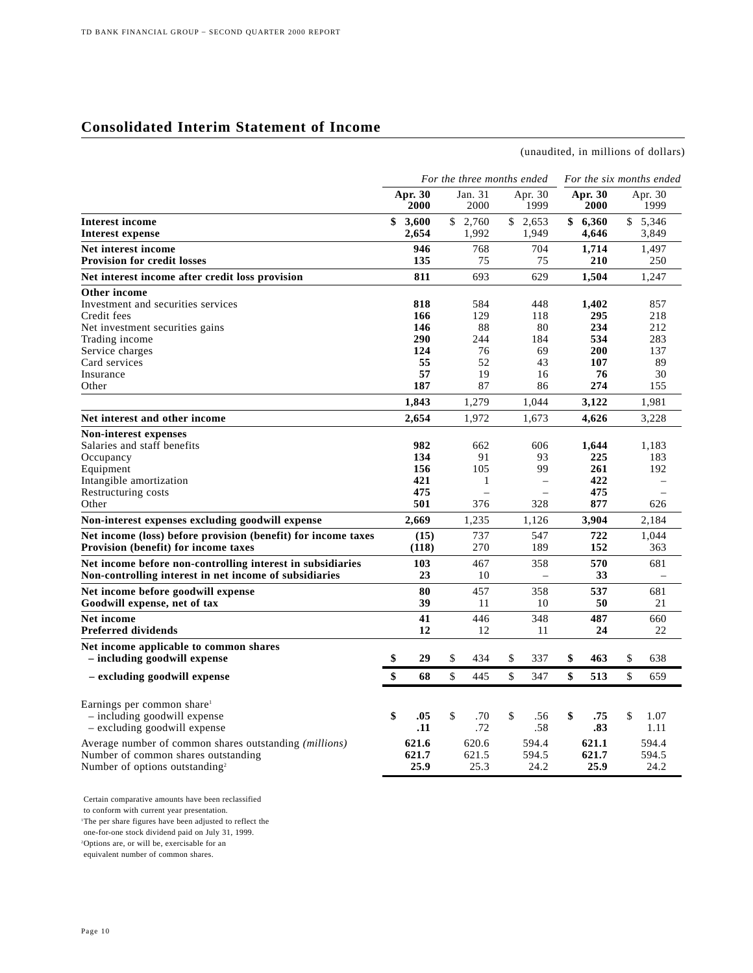## **Consolidated Interim Statement of Income**

(unaudited, in millions of dollars)

|                                                               | For the three months ended |                 |    |                 |              |                 | For the six months ended |                 |    |                          |  |
|---------------------------------------------------------------|----------------------------|-----------------|----|-----------------|--------------|-----------------|--------------------------|-----------------|----|--------------------------|--|
|                                                               |                            | Apr. 30<br>2000 |    | Jan. 31<br>2000 |              | Apr. 30<br>1999 |                          | Apr. 30<br>2000 |    | Apr. 30<br>1999          |  |
| Interest income                                               | \$                         | 3,600           |    | \$2,760         |              | \$2.653         |                          | \$6,360         |    | \$5,346                  |  |
| <b>Interest expense</b>                                       |                            | 2,654           |    | 1,992           |              | 1,949           |                          | 4,646           |    | 3,849                    |  |
| Net interest income                                           |                            | 946             |    | 768             |              | 704             |                          | 1,714           |    | 1,497                    |  |
| <b>Provision for credit losses</b>                            |                            | 135             |    | 75              |              | 75              |                          | 210             |    | 250                      |  |
| Net interest income after credit loss provision               |                            | 811             |    | 693             |              | 629             |                          | 1.504           |    | 1.247                    |  |
| Other income                                                  |                            |                 |    |                 |              |                 |                          |                 |    |                          |  |
| Investment and securities services                            |                            | 818             |    | 584             |              | 448             |                          | 1,402           |    | 857                      |  |
| Credit fees                                                   |                            | 166             |    | 129             |              | 118             |                          | 295             |    | 218                      |  |
| Net investment securities gains                               |                            | 146             |    | 88              |              | 80              |                          | 234             |    | 212                      |  |
| Trading income                                                |                            | 290             |    | 244             |              | 184             |                          | 534             |    | 283                      |  |
| Service charges                                               |                            | 124             |    | 76              |              | 69              |                          | 200             |    | 137                      |  |
| Card services                                                 |                            | 55<br>57        |    | 52              |              | 43              |                          | 107             |    | 89                       |  |
| Insurance<br>Other                                            |                            | 187             |    | 19<br>87        |              | 16<br>86        |                          | 76<br>274       |    | 30<br>155                |  |
|                                                               |                            | 1,843           |    | 1,279           |              | 1,044           |                          | 3,122           |    | 1,981                    |  |
| Net interest and other income                                 |                            | 2.654           |    | 1,972           |              | 1,673           |                          | 4,626           |    | 3,228                    |  |
| <b>Non-interest expenses</b>                                  |                            |                 |    |                 |              |                 |                          |                 |    |                          |  |
| Salaries and staff benefits                                   |                            | 982             |    | 662             |              | 606             |                          | 1.644           |    | 1.183                    |  |
| Occupancy                                                     |                            | 134             |    | 91              |              | 93              |                          | 225             |    | 183                      |  |
| Equipment                                                     |                            | 156             |    | 105             |              | 99              |                          | 261             |    | 192                      |  |
| Intangible amortization                                       |                            | 421             |    | 1               |              | $\equiv$        |                          | 422             |    | $\overline{\phantom{0}}$ |  |
| Restructuring costs                                           |                            | 475             |    |                 |              |                 |                          | 475             |    |                          |  |
| Other                                                         |                            | 501             |    | 376             |              | 328             |                          | 877             |    | 626                      |  |
| Non-interest expenses excluding goodwill expense              |                            | 2,669           |    | 1,235           |              | 1,126           |                          | 3,904           |    | 2,184                    |  |
| Net income (loss) before provision (benefit) for income taxes |                            | (15)            |    | 737             |              | 547             |                          | 722             |    | 1,044                    |  |
| Provision (benefit) for income taxes                          |                            | (118)           |    | 270             |              | 189             |                          | 152             |    | 363                      |  |
| Net income before non-controlling interest in subsidiaries    |                            | 103             |    | 467             |              | 358             |                          | 570             |    | 681                      |  |
| Non-controlling interest in net income of subsidiaries        |                            | 23              |    | 10              |              | $\equiv$        |                          | 33              |    | $\overline{\phantom{0}}$ |  |
| Net income before goodwill expense                            |                            | 80              |    | 457             |              | 358             |                          | 537             |    | 681                      |  |
| Goodwill expense, net of tax                                  |                            | 39              |    | 11              |              | 10              |                          | 50              |    | 21                       |  |
| <b>Net income</b>                                             |                            | 41              |    | 446             |              | 348             |                          | 487             |    | 660                      |  |
| <b>Preferred dividends</b>                                    |                            | 12              |    | 12              |              | 11              |                          | 24              |    | 22                       |  |
| Net income applicable to common shares                        |                            |                 |    |                 |              |                 |                          |                 |    |                          |  |
| - including goodwill expense                                  | \$                         | 29              | \$ | 434             | \$           | 337             | \$                       | 463             | \$ | 638                      |  |
| - excluding goodwill expense                                  | \$                         | 68              | \$ | 445             | $\mathbb{S}$ | 347             | \$                       | 513             | \$ | 659                      |  |
| Earnings per common share <sup>1</sup>                        |                            |                 |    |                 |              |                 |                          |                 |    |                          |  |
| - including goodwill expense                                  | \$                         | .05             | \$ | .70             | \$           | .56             | \$                       | .75             | \$ | 1.07                     |  |
| - excluding goodwill expense                                  |                            | .11             |    | .72             |              | .58             |                          | .83             |    | 1.11                     |  |
|                                                               |                            |                 |    |                 |              |                 |                          |                 |    |                          |  |
| Average number of common shares outstanding <i>(millions)</i> |                            | 621.6           |    | 620.6           |              | 594.4           |                          | 621.1           |    | 594.4                    |  |
| Number of common shares outstanding                           |                            | 621.7           |    | 621.5           |              | 594.5           |                          | 621.7           |    | 594.5                    |  |
| Number of options outstanding <sup>2</sup>                    |                            | 25.9            |    | 25.3            |              | 24.2            |                          | 25.9            |    | 24.2                     |  |

Certain comparative amounts have been reclassified to conform with current year presentation. 1 The per share figures have been adjusted to reflect the one-for-one stock dividend paid on July 31, 1999. 2 Options are, or will be, exercisable for an equivalent number of common shares.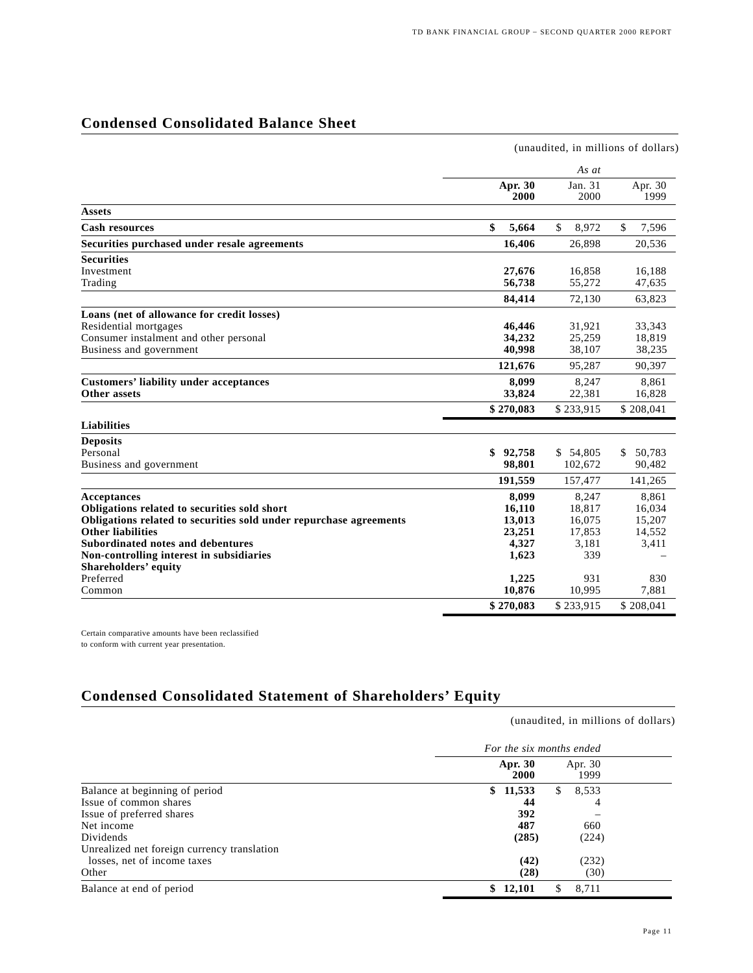## **Condensed Consolidated Balance Sheet**

|                                                                    | (unaudited, in millions of dollars) |                 |                 |  |  |  |  |  |
|--------------------------------------------------------------------|-------------------------------------|-----------------|-----------------|--|--|--|--|--|
|                                                                    |                                     | As at           |                 |  |  |  |  |  |
|                                                                    | Apr. 30<br>2000                     | Jan. 31<br>2000 | Apr. 30<br>1999 |  |  |  |  |  |
| <b>Assets</b>                                                      |                                     |                 |                 |  |  |  |  |  |
| <b>Cash resources</b>                                              | \$<br>5,664                         | \$<br>8,972     | \$<br>7,596     |  |  |  |  |  |
| Securities purchased under resale agreements                       | 16,406                              | 26,898          | 20,536          |  |  |  |  |  |
| <b>Securities</b>                                                  |                                     |                 |                 |  |  |  |  |  |
| Investment                                                         | 27,676                              | 16,858          | 16,188          |  |  |  |  |  |
| Trading                                                            | 56,738                              | 55,272          | 47,635          |  |  |  |  |  |
|                                                                    | 84,414                              | 72,130          | 63,823          |  |  |  |  |  |
| Loans (net of allowance for credit losses)                         |                                     |                 |                 |  |  |  |  |  |
| Residential mortgages                                              | 46,446                              | 31,921          | 33,343          |  |  |  |  |  |
| Consumer instalment and other personal                             | 34,232                              | 25,259          | 18,819          |  |  |  |  |  |
| Business and government                                            | 40,998                              | 38,107          | 38,235          |  |  |  |  |  |
|                                                                    | 121,676                             | 95,287          | 90,397          |  |  |  |  |  |
| <b>Customers' liability under acceptances</b>                      | 8.099                               | 8,247           | 8,861           |  |  |  |  |  |
| Other assets                                                       | 33,824                              | 22,381          | 16,828          |  |  |  |  |  |
|                                                                    | \$270,083                           | \$233,915       | \$208,041       |  |  |  |  |  |
| <b>Liabilities</b>                                                 |                                     |                 |                 |  |  |  |  |  |
| <b>Deposits</b>                                                    |                                     |                 |                 |  |  |  |  |  |
| Personal                                                           | \$<br>92,758                        | \$54,805        | 50,783<br>\$    |  |  |  |  |  |
| Business and government                                            | 98,801                              | 102,672         | 90,482          |  |  |  |  |  |
|                                                                    | 191,559                             | 157,477         | 141,265         |  |  |  |  |  |
| <b>Acceptances</b>                                                 | 8,099                               | 8,247           | 8,861           |  |  |  |  |  |
| Obligations related to securities sold short                       | 16,110                              | 18,817          | 16,034          |  |  |  |  |  |
| Obligations related to securities sold under repurchase agreements | 13,013                              | 16,075          | 15,207          |  |  |  |  |  |
| <b>Other liabilities</b>                                           | 23,251                              | 17,853          | 14,552          |  |  |  |  |  |
| Subordinated notes and debentures                                  | 4,327                               | 3,181           | 3,411           |  |  |  |  |  |
| Non-controlling interest in subsidiaries                           | 1,623                               | 339             |                 |  |  |  |  |  |
| <b>Shareholders' equity</b>                                        |                                     |                 |                 |  |  |  |  |  |
| Preferred                                                          | 1,225                               | 931             | 830             |  |  |  |  |  |
| Common                                                             | 10,876                              | 10,995          | 7,881           |  |  |  |  |  |
|                                                                    | \$270,083                           | \$233,915       | \$208,041       |  |  |  |  |  |

Certain comparative amounts have been reclassified to conform with current year presentation.

## **Condensed Consolidated Statement of Shareholders' Equity**

|                                             | For the six months ended |                 |  |  |  |  |
|---------------------------------------------|--------------------------|-----------------|--|--|--|--|
|                                             | Apr. 30<br>2000          | Apr. 30<br>1999 |  |  |  |  |
| Balance at beginning of period              | 11,533<br>SS.            | 8,533<br>S.     |  |  |  |  |
| Issue of common shares                      | 44                       | 4               |  |  |  |  |
| Issue of preferred shares                   | 392                      |                 |  |  |  |  |
| Net income                                  | 487                      | 660             |  |  |  |  |
| Dividends                                   | (285)                    | (224)           |  |  |  |  |
| Unrealized net foreign currency translation |                          |                 |  |  |  |  |
| losses, net of income taxes                 | (42)                     | (232)           |  |  |  |  |
| Other                                       | (28)                     | (30)            |  |  |  |  |
| Balance at end of period                    | 12,101                   | 8.711           |  |  |  |  |

(unaudited, in millions of dollars)